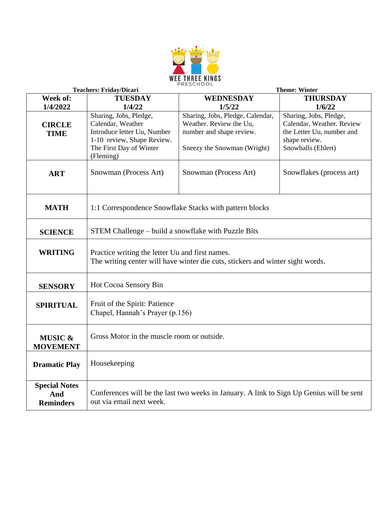

|                                                 | <b>Teachers: Friday/Dicari</b><br><b>Theme: Winter</b>                                                                                           |                                                                                                                        |                                                                                                                         |
|-------------------------------------------------|--------------------------------------------------------------------------------------------------------------------------------------------------|------------------------------------------------------------------------------------------------------------------------|-------------------------------------------------------------------------------------------------------------------------|
| Week of:                                        | <b>TUESDAY</b>                                                                                                                                   | WEDNESDAY                                                                                                              | <b>THURSDAY</b>                                                                                                         |
| 1/4/2022                                        | 1/4/22                                                                                                                                           | 1/5/22                                                                                                                 | 1/6/22                                                                                                                  |
| <b>CIRCLE</b><br><b>TIME</b>                    | Sharing, Jobs, Pledge,<br>Calendar, Weather<br>Introduce letter Uu, Number<br>1-10 review, Shape Review.<br>The First Day of Winter<br>(Fleming) | Sharing, Jobs, Pledge, Calendar,<br>Weather. Review the Uu,<br>number and shape review.<br>Sneezy the Snowman (Wright) | Sharing, Jobs, Pledge,<br>Calendar, Weather. Review<br>the Letter Uu, number and<br>shape review.<br>Snowballs (Ehlert) |
| <b>ART</b>                                      | Snowman (Process Art)                                                                                                                            | Snowman (Process Art)                                                                                                  | Snowflakes (process art)                                                                                                |
| <b>MATH</b>                                     | 1:1 Correspondence Snowflake Stacks with pattern blocks                                                                                          |                                                                                                                        |                                                                                                                         |
| <b>SCIENCE</b>                                  | STEM Challenge – build a snowflake with Puzzle Bits                                                                                              |                                                                                                                        |                                                                                                                         |
| <b>WRITING</b>                                  | Practice writing the letter Uu and first names.<br>The writing center will have winter die cuts, stickers and winter sight words.                |                                                                                                                        |                                                                                                                         |
| <b>SENSORY</b>                                  | Hot Cocoa Sensory Bin                                                                                                                            |                                                                                                                        |                                                                                                                         |
| <b>SPIRITUAL</b>                                | Fruit of the Spirit: Patience<br>Chapel, Hannah's Prayer (p.156)                                                                                 |                                                                                                                        |                                                                                                                         |
| <b>MUSIC &amp;</b><br><b>MOVEMENT</b>           | Gross Motor in the muscle room or outside.                                                                                                       |                                                                                                                        |                                                                                                                         |
| <b>Dramatic Play</b>                            | Housekeeping                                                                                                                                     |                                                                                                                        |                                                                                                                         |
| <b>Special Notes</b><br>And<br><b>Reminders</b> | Conferences will be the last two weeks in January. A link to Sign Up Genius will be sent<br>out via email next week.                             |                                                                                                                        |                                                                                                                         |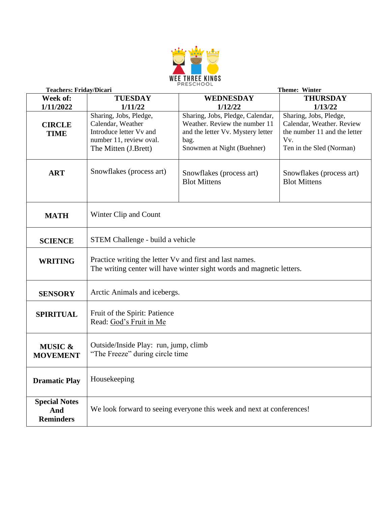

|                                                 | <b>Teachers: Friday/Dicari</b><br><b>Theme: Winter</b>                                                                            |                                                                                                                                              |                                                                                                                        |
|-------------------------------------------------|-----------------------------------------------------------------------------------------------------------------------------------|----------------------------------------------------------------------------------------------------------------------------------------------|------------------------------------------------------------------------------------------------------------------------|
| Week of:                                        | <b>TUESDAY</b>                                                                                                                    | <b>WEDNESDAY</b>                                                                                                                             | <b>THURSDAY</b>                                                                                                        |
| 1/11/2022                                       | 1/11/22                                                                                                                           | 1/12/22                                                                                                                                      | 1/13/22                                                                                                                |
| <b>CIRCLE</b><br><b>TIME</b>                    | Sharing, Jobs, Pledge,<br>Calendar, Weather<br>Introduce letter Vv and<br>number 11, review oval.<br>The Mitten (J.Brett)         | Sharing, Jobs, Pledge, Calendar,<br>Weather. Review the number 11<br>and the letter Vv. Mystery letter<br>bag.<br>Snowmen at Night (Buehner) | Sharing, Jobs, Pledge,<br>Calendar, Weather. Review<br>the number 11 and the letter<br>Vv.<br>Ten in the Sled (Norman) |
| <b>ART</b>                                      | Snowflakes (process art)                                                                                                          | Snowflakes (process art)<br><b>Blot Mittens</b>                                                                                              | Snowflakes (process art)<br><b>Blot Mittens</b>                                                                        |
| <b>MATH</b>                                     | Winter Clip and Count                                                                                                             |                                                                                                                                              |                                                                                                                        |
| <b>SCIENCE</b>                                  | STEM Challenge - build a vehicle                                                                                                  |                                                                                                                                              |                                                                                                                        |
| <b>WRITING</b>                                  | Practice writing the letter Vv and first and last names.<br>The writing center will have winter sight words and magnetic letters. |                                                                                                                                              |                                                                                                                        |
| <b>SENSORY</b>                                  | Arctic Animals and icebergs.                                                                                                      |                                                                                                                                              |                                                                                                                        |
| <b>SPIRITUAL</b>                                | Fruit of the Spirit: Patience<br>Read: God's Fruit in Me                                                                          |                                                                                                                                              |                                                                                                                        |
| <b>MUSIC &amp;</b><br><b>MOVEMENT</b>           | Outside/Inside Play: run, jump, climb<br>"The Freeze" during circle time                                                          |                                                                                                                                              |                                                                                                                        |
| <b>Dramatic Play</b>                            | Housekeeping                                                                                                                      |                                                                                                                                              |                                                                                                                        |
| <b>Special Notes</b><br>And<br><b>Reminders</b> | We look forward to seeing everyone this week and next at conferences!                                                             |                                                                                                                                              |                                                                                                                        |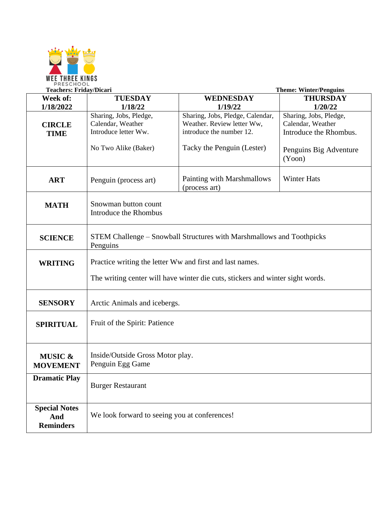

|                                                 | <b>Teachers: Friday/Dicari</b>                                                                                                             |                                                                                                                          | <b>Theme: Winter/Penguins</b>                                                                             |
|-------------------------------------------------|--------------------------------------------------------------------------------------------------------------------------------------------|--------------------------------------------------------------------------------------------------------------------------|-----------------------------------------------------------------------------------------------------------|
| Week of:                                        | <b>TUESDAY</b>                                                                                                                             | <b>WEDNESDAY</b>                                                                                                         | <b>THURSDAY</b>                                                                                           |
| 1/18/2022                                       | 1/18/22                                                                                                                                    | 1/19/22                                                                                                                  | 1/20/22                                                                                                   |
| <b>CIRCLE</b><br><b>TIME</b>                    | Sharing, Jobs, Pledge,<br>Calendar, Weather<br>Introduce letter Ww.<br>No Two Alike (Baker)                                                | Sharing, Jobs, Pledge, Calendar,<br>Weather. Review letter Ww,<br>introduce the number 12.<br>Tacky the Penguin (Lester) | Sharing, Jobs, Pledge,<br>Calendar, Weather<br>Introduce the Rhombus.<br>Penguins Big Adventure<br>(Yoon) |
| <b>ART</b>                                      | Penguin (process art)                                                                                                                      | Painting with Marshmallows<br>(process art)                                                                              | <b>Winter Hats</b>                                                                                        |
| <b>MATH</b>                                     | Snowman button count<br><b>Introduce the Rhombus</b>                                                                                       |                                                                                                                          |                                                                                                           |
| <b>SCIENCE</b>                                  | STEM Challenge – Snowball Structures with Marshmallows and Toothpicks<br>Penguins                                                          |                                                                                                                          |                                                                                                           |
| <b>WRITING</b>                                  | Practice writing the letter Ww and first and last names.<br>The writing center will have winter die cuts, stickers and winter sight words. |                                                                                                                          |                                                                                                           |
| <b>SENSORY</b>                                  | Arctic Animals and icebergs.                                                                                                               |                                                                                                                          |                                                                                                           |
| <b>SPIRITUAL</b>                                | Fruit of the Spirit: Patience                                                                                                              |                                                                                                                          |                                                                                                           |
| <b>MUSIC &amp;</b><br><b>MOVEMENT</b>           | Inside/Outside Gross Motor play.<br>Penguin Egg Game                                                                                       |                                                                                                                          |                                                                                                           |
| <b>Dramatic Play</b>                            | <b>Burger Restaurant</b>                                                                                                                   |                                                                                                                          |                                                                                                           |
| <b>Special Notes</b><br>And<br><b>Reminders</b> | We look forward to seeing you at conferences!                                                                                              |                                                                                                                          |                                                                                                           |